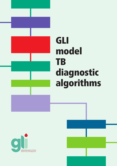

# GLI model **TB** diagnostic algorithms

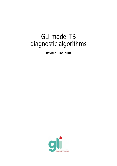## GLI model TB diagnostic algorithms

Revised June 2018

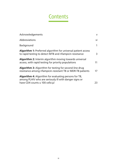## **Contents**

| <b>Acknowledgements</b>                                                                                                                                  | $\mathsf{V}$ |
|----------------------------------------------------------------------------------------------------------------------------------------------------------|--------------|
| <b>Abbreviations</b>                                                                                                                                     | vi           |
| Background                                                                                                                                               | $\mathbf{1}$ |
| <b>Algorithm 1:</b> Preferred algorithm for universal patient access<br>to rapid testing to detect MTB and rifampicin resistance                         | 3            |
| <b>Algorithm 2:</b> Interim algorithm moving towards universal<br>access, with rapid testing for priority populations                                    | 11           |
| <b>Algorithm 3:</b> Algorithm for testing for second-line drug<br>resistance among rifampicin-resistant TB or MDR-TB patients                            | 17           |
| <b>Algorithm 4:</b> Algorithm for evaluating persons for TB,<br>among PLHIV who are seriously ill with danger signs or<br>have CD4 counts ≤ 100 cells/µl | 23           |
|                                                                                                                                                          |              |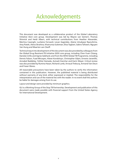## Acknowledgements

This document was developed as a collaborative product of the Global Laboratory Initiative (GLI) core group. Development was led by Wayne van Gemert, Thomas Shinnick and Heidi Albert, with technical contributions from Heather Alexander, Martina Casenghi, Lucilaine Ferrazoli, Levan Gagnidze, Alaine Umubyeyi Nyaruhirira, Amy Piatek, Alena Skrahina, Khairunisa Suleiman, Elisa Tagliani, Sabira Tahseen, Nguyen Van Hung and Maarten van Cleeff.

Technical input into development of the document was also provided by colleagues from the Global Drug Resistant-TB Initiative (GDI) core group, including Chen-Yuan Chiang, Daniela Cirillo and Agnes Gebhard, and from the WHO Global TB Programme, including Dennis Falzon, Fuad Mirzayev, Alexei Korobitsyn, Christopher Gilpin, Ernesto Jaramillo, Annabel Baddeley, Yohhei Hamada, Avinash Kanchar and Karin Weyer. Critical review was also provided by Rumina Hasan, Richard Lumb, Arnaud Trebucq, Armand Van Deun and Fraser Wares.

All reasonable precautions have been taken by the authors to verify the information contained in this publication. However, the published material is being distributed without warranty of any kind, either expressed or implied. The responsibility for the interpretation and use of the material lies with the reader. In no event shall the authors be liable for damages arising from its use.

Layout and design were provided by minimum graphics.

GLI is a Working Group of the Stop TB Partnership. Development and publication of this document were made possible with financial support from the United States Agency for International Development.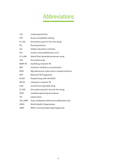## Abbreviations

| <b>CSF</b>   | cerebrospinal fluid                         |
|--------------|---------------------------------------------|
| <b>DST</b>   | drug-susceptibility testing                 |
| FL-LPA       | line probe assay for first-line drugs       |
| FQ           | fluoroquinolone                             |
| GLI          | Global Laboratory Initiative                |
| <b>HIV</b>   | human immunodeficiency virus                |
| LF-LAM       | lateral flow lipoarabinomannan assay        |
| <b>LPA</b>   | line probe assay                            |
| MDR-TB       | multidrug-resistant TB                      |
| <b>MIC</b>   | minimum inhibitory concentration            |
| <b>MTB</b>   | Mycobacterium tuberculosis complex bacteria |
| <b>NTP</b>   | National TB Programme                       |
| <b>PLHIV</b> | People living with HIV/AIDS                 |
| RR-TB        | rifampicin-resistant TB                     |
| <b>SLID</b>  | second-line injectable drug                 |
| SL-LPA       | line probe assay for second-line drugs      |
| SOPs         | standard operating procedures               |
| TB           | tuberculosis                                |
| TB-LAMP      | loop-mediated isothermal amplification test |
| <b>WHO</b>   | World Health Organization                   |
| <b>WRD</b>   | WHO-recommended rapid diagnostic            |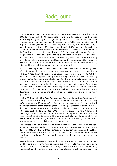## Background

WHO's global strategy for tuberculosis (TB) prevention, care and control for 2015– 2035 (known as the End TB Strategy) calls for the early diagnosis of TB and universal drug-susceptibility testing (DST), highlighting the critical role of laboratories in the strategy. In order to meet the End TB Strategy targets, WHO-recommended rapid TB diagnostics (WRDs) should be available to all persons with signs or symptoms of TB, all bacteriologically confirmed TB patients should receive DST at least for rifampicin, and all patients with rifampicin-resistant TB should receive DST at least for fluoroquinolones (FQs) and second-line injectable drugs (SLIDs). Therefore all national TB control programmes (NTP) need to prioritize the development of a network of TB laboratories that use modern diagnostics, have efficient referral systems, use standard operating procedures (SOPs) and appropriate quality assurance (QA) processes, and have adequate biosafety and sufficient human resources. These priorities should be comprehensively addressed in national strategic plans and adequately funded.

In recent years, rapid and sensitive tests based on molecular methods, including Xpert® MTB/RIF (Cepheid, Sunnyvale USA), the loop-mediated isothermal amplification (TB-LAMP) test (Eiken Chemical, Tokyo Japan), and line probe assays (LPAs), have become available to replace or complement existing conventional tests for detecting *Mycobacterium tuberculosis* complex bacteria (MTB) and for detecting drug resistance. Despite the advantages of these newer tests, conventional microscopy and culture remain necessary for monitoring the response of a patient to treatment. Conventional culture and DST are also needed to address gaps in the approved rapid test repertoire, including DST for many important TB drugs such as pyrazinamide, bedaquiline and delamanid, as well as for testing of a full-range of respiratory and non-respiratory specimens.

In 2015, WHO published the *Policy framework for Implementing Tuberculosis Diagnostics* and the Global Laboratory Initiative (GLI) published the *GLI Guide for providing technical support to TB laboratories in low- and middle-income countries* to assist with the implementation of the latest diagnostic technologies. Since the publication of these documents, WHO has approved or updated guidance on several diagnostic tests for TB — specifically the TB-LAMP test, LPAs for first-line drugs (FL-LPA), LPA for secondline drugs (SL-LPA), and the urine-based lateral flow lipoarabinomannan (LF-LAM) assay to assist with the diagnosis of TB among seriously ill people living with HIV/AIDS (PLHIV). Both the WHO Policy framework and the GLI Guide are being updated in 2017 to incorporate the latest policies and recommendations.

The purpose of this document is to illustrate testing algorithms in line with the goals of the End TB strategy and incorporate the recent WHO recommendations for tests to detect MTB (TB-LAMP, LF-LAM) and detect drug resistance (first- and second-line LPAs). The reader is referred to the WHO Policy Framework and the GLI Guide for sample algorithms using the WHO-recommended diagnostics that were recommended as of early 2015.

As new diagnostic tests are implemented, testing algorithms will need to be modified. Modifications to algorithms must be put in place only after a formal evaluation, review, and approval by officials within the Ministry of Health and the NTP. Often nationally appointed thematic working groups are used to evaluate new technologies and develop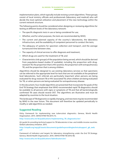implementation plans, which typically include revising current algorithms. These groups consist of local ministry officials and professionals (laboratory and medical) who will decide the most optimal utilization and placement of the new technology within the current network structure.

The following points should be considered when designing or reviewing algorithms for testing at different levels of the laboratory network:

- The specific diagnostic tests in use or being considered for use;
- Whether, and for what purposes, the tests are recommended by WHO;
- The current and planned capacity of the country's laboratories, the laboratory infrastructure, and the availability of competent personnel to conduct the tests;
- The adequacy of systems for specimen collection and transport, and the average turnaround time between sites;
- The capacity of clinical services to offer diagnosis and treatment;
- Which drugs are used for the treatment of TB; and
- Characteristics (risk groups) of the population being served, which should be derived from population-based studies (if available), including the proportion with drugresistant TB, the proportion that is HIV-positive, the proportion with extrapulmonary TB, and the proportion that is among children.

Algorithms should be designed to use existing laboratory services so that specimens can be referred to the appropriate level for tests that are not available at the peripheral level laboratories. Such referrals are particularly important when persons are being evaluated for drug-resistant TB or HIV-associated TB, when children are being evaluated for TB, or when persons are being evaluated for extrapulmonary disease.

In this document, four model algorithms are presented that incorporate the goals of the End TB Strategy that emphasize that WHO-recommended rapid TB diagnostics should be available to all persons with signs or symptoms of TB and that all bacteriologically confirmed TB cases should receive DST. The algorithms are illustrative and must be adapted by countries to the local situation.

The landscape of TB diagnostics is rapidly changing, and new tests may be recommended by WHO in the near future. This document will therefore be updated periodically to modify or add algorithms as needed.

#### **Suggested Reading**

*Policy framework for implementing new tuberculosis diagnostics*. Geneva, World Health Organization. 2015. (WHO/HTM/TB/2015.11).

http://www.who.int/tb/publications/implementing\_TB\_diagnostics/en/

*GLI guide for providing technical support to TB laboratories in low- and middle-income countries*. Global Laboratory Initiative. 2015.

[http://stoptb.org/wg/gli/assets/documents/guideforprovidingtechnicalsupport\\_gb\\_web.](http://stoptb.org/wg/gli/assets/documents/guideforprovidingtechnicalsupport_gb_web.pdf) [pdf](http://stoptb.org/wg/gli/assets/documents/guideforprovidingtechnicalsupport_gb_web.pdf)

*Framework of indicators and targets for laboratory strengthening under the End TB Strategy*. Geneva, World Health Organization. 2016. (WHO/HTM/TB/2016.18).

http://www.who.int/tb/publications/labindicators/en/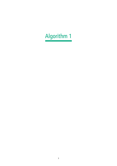# Algorithm 1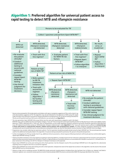### Algorithm 1: **Preferred algorithm for universal patient access to rapid testing to detect MTB and rifampicin resistance**



- node and other tissue specimen from persons being evaluated for extrapulmonary TB. For persons being evaluated for TB who are HIV positive and have CD4 counts ≤100 cells/μl or are seriously ill, see **Algorithm 4**. <sup>2</sup> The new generation Xpert MTB/RIF Ultra assay (Ultra) uses the same semi-quantitative categories used in the Xpert
- MTB/RIF assay, with an additional semi-quantitative category "trace call" that corresponds to the lowest bacillary burden for Mycobacterium tuberculosis (MTB) complex detection. If MTB is detected with a "trace call", then no interpretation can be made regarding rifampicin resistance and results should be reported as MTB detected, trace, RIF indeterminate (Follow section on "MTB detected, rifampicin indeterminate" under **Algorithm 1**). The "trace call" positive result is sufficient to **initiate therapy in those with known or suspected HIV infection, children and for patients with extrapulmonary samples**. For other categories of patients repeating test may be considered with use of second Ultra test for clinical decisions and patients follow-up. (See GLI Planning for country transition to Xpert MTB/RIF Ultra Cartridges).
- <sup>3</sup> Programmes may consider collecting two specimens upfront. The first specimen should be promptly tested using the Xpert MTB/RIF test. The second specimen may be used for the additional testing described in this algorithm. For persons being evaluated for pulmonary TB, sputum is the preferred specimen.
- Further investigations for TB may include chest X-ray, additional clinical assessments, clinical response following treatment with broad-spectrum antimicrobial agents, repeat Xpert MTB/RIF testing, or culture.
- <sup>5</sup> Patients should be initiated on a first-line regimen according to national guidelines. A sample may be sent for molecular or phenotypic DST for isoniazid, particularly if the patient has been previously treated with isoniazid or if there is a high prevalence of isoniazid resistance not associated with rifampicin resistance (i.e., isoniazid mono- or poly-resistance) in this setting or for DST for rifampicin if rifampicin resistance is still suspected.
- <sup>6</sup> Repeat Xpert MTB/RIF test at the same testing site with a fresh specimen. Use the rifampicin result of the second Xpert MTB/RIF test in this algorithm for a decision(s) regarding choice of regimen (first line or second line regimen).
- Repeat Xpert MTB/RIF test at the same testing site with a fresh specimen. Interpret the result of the repeat test as shown in this algorithm. Use the result of the second Xpert MTB/RIF test for clinical decisions.
- 8 Patients at high risk for multidrug-resistant TB (MDR-TB) include previously treated patients including those who had been lost to follow-up, relapsed, and failed a treatment regimen; non-converters (smear positive at end of intensive phase); MDR-TB contacts; and any other MDR-TB risk groups identified in the country.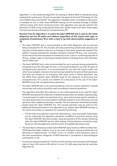Algorithm 1 is the preferred algorithm for testing to detect MTB in individuals being evaluated for pulmonary TB and incorporates the goals of the End TB Strategy for the use of WRDs and universal DST. This algorithm is feasible when a GeneXpert instrument is available on site or when Xpert MTB/RIF testing can be accessed through a reliable referral system with short turnaround time. This algorithm may also be used for the detection of MTB using cerebrospinal fluid (CSF), lymph nodes and other tissue types from persons being evaluated for extrapulmonary TB.

**Decision Tree for Algorithm 1 in which the Xpert MTB/RIF test is used as the initial diagnostic test for all adults and children (regardless of HIV status) with signs or symptoms of pulmonary TB or with a chest X-ray with abnormalities suggestive of TB**

- The Xpert MTB/RIF test is recommended as the initial diagnostic test for persons being evaluated for TB. This includes all newly presenting symptomatic persons and may also include patients who are on therapy or have been previously treated if the patient is being evaluated for possible rifampicin-resistant TB (e.g., non-converters at the end of the intensive phase of treatment) or for a new or continuing episode of TB (e.g., relapse cases or previously treated patients including those who had been lost to follow-up).
- The Xpert MTB/RIF test is also recommended for use in persons being evaluated for extrapulmonary TB, although the test is not recommended for use with all types of extrapulmonary specimens. It is recommended for use with CSF, lymph nodes and other tissue samples. However, the test has low sensitivity for pleural fluid specimens and data are limited for its sensitivity with stool, urine or blood specimens. See the WHO *Policy Update: Xpert MTB/RIF assay for the diagnosis of pulmonary and*  extrapulmonary TB in adults and children for a discussion of the use of the Xpert MTB/RIF assay with extrapulmonary specimens.
- The Xpert MTB/RIF test is not recommended as a test to monitor treatment; instead microscopy and culture should be used according to national guidelines.
- The algorithm describes the collection of one initial specimen to be used for Xpert MTB/RIF testing and the collection of additional specimens as needed. Operationally, it may be easier to collect two specimens (e.g., spot and morning sputum samples or two spot specimens) from each patient routinely instead of only collecting a second specimen when additional testing is needed. The first specimen should be promptly tested using the Xpert MTB/RIF test. The second specimen may be used for the additional testing described in the algorithm (e.g., repeat Xpert MTB/RIF testing) or for smear microscopy as a baseline for treatment monitoring.
	- If more than one specimen cannot be collected (e.g., only one lymph node biopsy can be collected), the algorithm should be modified to prioritize testing using the Xpert MTB/RIF test and consider using any portions of the sample remaining after the Xpert MTB/RIF test for other testing. Clinical decisions should be made based on clinical judgement and the results of available laboratory tests.
- The GeneXpert software provides Xpert MTB/RIF assay results as 'MTB not detected'; 'MTB detected (high, medium, low, or very low), rifampicin resistance detected, not detected, or indeterminate'; 'no result'; 'error'; or 'invalid'. In this document, each of the semi-quantitative categories of MTB detected is considered as bacteriological confirmation of TB.
- For persons being evaluated for TB who are HIV positive and seriously ill with danger signs or have CD4 counts ≤100 cells/μl, a urine LF-LAM assay may also be used (see Algorithm 4).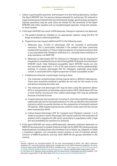- 1. Collect a good quality specimen and transport it to the testing laboratory. Conduct the Xpert MTB/RIF test. For persons being evaluated for pulmonary TB, induced or expectorated sputum (preferred), bronchoalveolar lavage, gastric lavage, and gastric aspirate specimens may be used. Data are limited for the sensitivity of the Xpert MTB/RIF with other samples such as nasopharyngeal aspirates, string test samples, or stool samples.
- 2. If the Xpert MTB/RIF test result is MTB detected, rifampicin resistance not detected:
	- a. The patient should be initiated on an appropriate regimen using first-line TB drugs according to national guidelines.
	- b. Programmes may request additional DST in the following cases:
		- i. Molecular (e.g., FL-LPA) or phenotypic DST for isoniazid is particularly necessary. This is particularly indicated if the patient has been previously treated with isoniazid or if there is high prevalence of isoniazid resistance that is not associated with rifampicin resistance (i.e., isoniazid mono-resistance or poly-resistance, not MDR-TB).1
		- ii. Molecular or phenotypic DST for resistance to rifampicin may be requested if the patient is considered to be at risk of having MDR-TB despite the initial Xpert MTB/RIF result. False rifampicin-susceptible Xpert MTB/RIF results are rare but have been observed in 1–5% of TB cases tested in various epidemiologic settings. In contrast, phenotypic DST for rifampicin, especially using liquid culture, is associated with a higher proportion of false-susceptible results.2
	- c. If additional molecular or phenotypic testing is done:
		- i. The molecular and phenotypic testing may be done in different laboratories. These tests should be initiated in parallel; do not wait for the results of one test before initiating the other test.
		- ii. The molecular and phenotypic DST may be done using the specimen (direct DST) or using bacteria recovered by culture (indirect DST). While direct DST has a much shorter turnaround time, indirect phenotypic DST may be preferred because of technical issues.
		- iii. A rapid molecular test is preferred. Currently, FL-LPA is the only WHO-approved rapid molecular test for isoniazid resistance. FL-LPA can identify inhA and katG mutations which can guide clinicians on the composition of isoniazid-resistant TB regimen. DNA sequencing has proven useful in many cases but has not yet been evaluated by WHO.
		- iv. Culture-based phenotypic DST for isoniazid and rifampicin requires 3 to 8 weeks to produce a result. Phenotypic DST may be useful for the evaluation of patients with a negative FL-LPA result, particularly in populations with a high pre-test probability for resistance to isoniazid.
- 3. If the Xpert MTB/RIF test result is MTB detected, rifampicin resistance detected, an MDR-TB risk assessment is needed. Patients at high risk for MDR-TB include previously treated patients including those who had been lost to follow-up, relapsed, or failed a treatment regimen; non-converters (smear positive at end of intensive phase); contacts of MDR-TB patients; and any other MDR-TB risk groups identified in the country.

<sup>1</sup> Specific regimens for isoniazid-resistant TB are now recommended by WHO. See: WHO treatment guidelines for isoniazid-resistant tuberculosis: Supplement to the WHO treatment guidelines for drugresistant tuberculosis [WHO/CDS/TB/2018.7]. Available from: http://apps.who.int/iris/bitstream/hand

le/10665/260494/9789241550079-eng.pdf?sequence=1. Geneva: World Health Organization; 2018. 2 A. Van Deun et al. Rifampin drug resistance tests for tuberculosis: Challenging the gold standard. *J Clin Microbiol*. August 2013; 51 (8): 2633-2640. DOI: http://dx.doi.org/10.1128/JCM.00553-13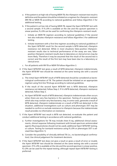- a. If the patient is at high risk of having MDR-TB, the rifampicin-resistant test result is definitive and the patient should be initiated on a regimen for rifampicin-resistant (RR-TB) or MDR-TB according to national guidelines and follow Algorithm 3 for additional testing.
- b. If the patient is at low risk of having MDR-TB, repeat the Xpert MTB/RIF test with a second sample. If FL-LPA is available at the site and the sputum specimen is smear positive, FL-LPA can be used for confirming the rifampicin-resistant result.
	- i. Initiate an MDR-TB regimen according to national guidelines if the second test also indicates rifampicin resistance and follow Algorithm 3 for additional testing.
	- ii. Initiate treatment with a first-line regimen according to national guidelines if the Xpert MTB/RIF result for the second sample is MTB detected, rifampicin resistance not detected. While in most situations false-positive rifampicinresistant results due to technical performance of the assay are rare, falsepositive rifampicin-resistant results due to laboratory or clerical errors may be more likely. Therefore it may be assumed that the result of the second test is correct and the result of the first test may have been due to a laboratory or clerical error.
- c. For all patients with RR-TB or MDR-TB follow Algorithm 3.
- 4. If the Xpert MTB/RIF test gives a result of MTB detected, rifampicin indeterminate, the Xpert MTB/RIF test should be retested at the same testing site with a second specimen.
	- a. The initial Xpert MTB/RIF result of MTB detected should be considered as bacteriological confirmation of TB. The patient should be initiated on an appropriate regimen using first-line TB drugs according to national guidelines.
	- b. If the result of the second Xpert MTB/RIF test is MTB detected, rifampicin resistance not detected, follow Step 2. If it is MTB detected, rifampicin resistance detected, follow Step 3.
	- c. An Xpert MTB/RIF result of MTB detected, rifampicin indeterminate often occurs when there are very few bacteria in the specimen. Testing of a second sample, which also may contain very few bacteria, may, in some cases, generate a result of MTB detected, rifampicin indeterminate or a result of MTB not detected. In this situation, additional investigations such as culture and phenotypic DST may be needed to confirm or exclude resistance to rifampicin because the indeterminate result provides no information on resistance.
- 5. If the Xpert MTB/RIF test result is MTB not detected, re-evaluate the patient and conduct additional testing in accordance with national guidelines.
	- a. Further investigations for TB may include chest X-ray, additional clinical assessments, clinical response following treatment with broad-spectrum antimicrobial agents (fluoroquinolones should not be used), additional Xpert MTB/RIF testing, or culture. Testing for isoniazid resistance using FL-LPA or phenotypic DST is advised (See Algorithm 1).
	- b. Consider the possibility of clinically defined TB (i.e., no bacteriological confirmation). Use clinical judgement for treatment decisions.
- 6. If the Xpert MTB/RIF test does not give a result or gives a result of error or invalid, the Xpert MTB/RIF test should be retested at the same testing site with a second specimen. If FL-LPA is available at the site and the second specimen is smear positive, FL-LPA can be used for the repeat testing; although repeat Xpert MTB/RIF testing is preferred.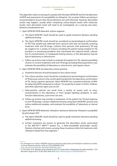This algorithm relies on testing of a sample with the Xpert MTB/RIF test for the detection of MTB and assessment of susceptibility to rifampicin. On occasion follow-up testing is recommended to ensure that clinical decisions are well informed. However, discordant results may happen, usually when comparing culture-based results with molecular results. Each discordant result will need to be investigated, on a case-by-case basis. General considerations are:

- 1. Xpert MTB/RIF MTB detected, culture negative.
	- a. The Xpert MTB/RIF result should be used to guide treatment decision pending additional testing.
	- b. The Xpert MTB/RIF result should be considered as bacteriological confirmation of TB if the sample was collected from a person who was not recently receiving treatment with anti-TB drugs. Cultures from persons with pulmonary TB may be negative for a variety of reasons including the patient being treated for TB, transport or processing problems that inactivated the tubercle bacilli, cultures lost to contamination, or inadequate testing volume, or the discrepancy may be due to laboratory or clerical error.
	- c. Follow-up actions may include re-evaluate the patient for TB, reassess possibility of prior or current treatment with anti-TB drugs (including fluoroquinolone use), evaluate the possibility of laboratory or clerical error, and repeat culture.
- 2. Xpert MTB/RIF MTB not detected, culture positive.
	- a. Treatment decision should be based on the culture result.
	- b. The culture-positive result should be considered as bacteriological confirmation of TB because culture is the current gold standard for the laboratory confirmation of TB. Using a sputum specimen, Xpert MTB/RIF has a pooled sensitivity of 89% for detecting MTB compared to culture.<sup>3</sup> Its sensitivity is lower in PLHIV, children, and other specimen types such as CSF.
	- c. False-positive cultures can result from a variety of causes such as crosscontamination in the laboratory or from sample labelling problems. In wellfunction laboratories, such errors are rare.
	- d. Follow-up actions may include re-evaluation of the patient for TB and response to anti-TB therapy; conduct additional testing using Xpert MTB/RIF; process and culture additional samples; and evaluate the possibility of laboratory or clerical error.
- 3. Xpert MTB/RIF MTB detected, rifampicin resistance detected; rifampicin susceptible by phenotypic DST.
	- a. The Xpert MTB/RIF result should be used to guide treatment decisions pending additional testing.
	- b. Certain mutations are known to generate this discordant result, particularly in the BACTEC<sup>TM</sup> MGIT<sup>TM</sup> system (i.e., a false-susceptible phenotypic result). Patients infected with strains carrying these mutations often fail treatment with rifampicin-based first-line regimens.4

 $3$  K.R. Steingart et al. Xpert® MTB/RIF assay for pulmonary tuberculosis and rifampicin resistance in adults. *Cochrane Database Syst Rev*. 2014 Jan 21;(1):CD009593. DOI: <http://dx.doi.org/10.1002/14651858.CD009593.pub3>

<sup>4</sup> A. Van Deun et al. Rifampin drug resistance tests for tuberculosis: Challenging the gold standard. *J Clin Microbiol*. August 2013; 51 (8): 2633-2640. DOI: http://dx.doi.org/10.1128/JCM.00553-13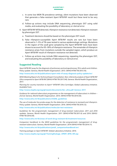- c. In some low MDR-TB prevalence settings, silent mutations have been observed that generate a false-resistant Xpert MTB/RIF result but these tend to be very rare.
- d. Follow-up actions may include DNA sequencing, phenotypic DST using solid media, and evaluating the possibility of laboratory or clerical error.
- 4. Xpert MTB/RIF MTB detected, rifampicin resistance not detected; rifampicin resistant by phenotypic DST.
	- a. Treatment decisions should be based on the phenotypic DST result.
	- b. False rifampicin-susceptible Xpert MTB/RIF results are rare but have been observed in 1–5% of TB cases tested in various epidemiologic settings. Mutations in the region of the *rpoB* gene sampled by the Xpert MTB/RIF tests have been shown to account for 95–99% of rifampicin resistance. The remainder of rifampicin resistance arises from mutations outside the sampled region, which produce an Xpert MTB/RIF result of rifampicin resistance not detected.
	- c. Follow-up actions may include DNA sequencing, repeating the phenotypic DST, and evaluating the possibility of laboratory or clerical error.

#### **Suggested Reading**

*Xpert MTB/RIF assay for the diagnosis of pulmonary and extrapulmonary TB in adults and children. Policy update*. Geneva, World Health Organization. 2013. (WHO/HTM/TB/2013.16).

http://www.who.int/tb/publications/xpert-mtb-rif-assay-diagnosis-policy-update/en/

*WHO Meeting Report of a Technical Expert Consultation: Non-inferiority analysis of Xpert MTB/RIF Ultra compared to Xpert MTB/RIF* [WHO/HTM/TB/2017.04]. Geneva: World Health Organization, 2017.

*Planning for country transition to Xpert® MTB/RIF Ultra Cartridges*. Global Laboratory Initiative. Available from:

http://www.stoptb.org/wg/gli/assets/documents/GLI\_ultra.pdf. Geneva: 2017.

*Guidance for national tuberculosis programmes on the management of tuberculosis in children – 2nd ed*. Geneva, World Health Organization. 2014. (WHO/HTM/TB/2014.03). http://www.who.int/tb/publications/childtb\_quidelines

*The use of molecular line probe assays for the detection of resistance to isoniazid and rifampicin. Policy update*. Geneva, World Health Organization. 2016. (WHO/HTM/TB/2016.12).

http://www.who.int/tb/publications/molecular-test-resistance

*Guidelines for the programmatic management of drug-resistant tuberculosis: 2011 and 2016 updates*. Geneva, World Health Organization. 2011 (WHO/HTM/TB/2011.6) and 2016 (WHO/ HTM/TB/2016.04).

http://www.who.int/tb/areas-of-work/drug-resistant-tb/treatment/resources

*Companion handbook to the WHO guidelines for the programmatic management of drugresistant tuberculosis*. Geneva, World Health Organization. 2014 (WHO/HTM/TB/2014.11).

http://www.who.int/tb/publications/pmdt\_companionhandbook/en/

*Training package on Xpert MTB/RIF*. Global Laboratory Initiative. 2014. http://www.stoptb.org/wg/gli/TrainingPackage\_XPERT\_MTB\_RIF.asp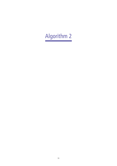# Algorithm 2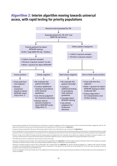### Algorithm 2: **Interim algorithm moving towards universal access, with rapid testing for priority populations**



<sup>1</sup> Persons being evaluated for TB include all persons with signs or symptoms suggestive of TB or persons with a chest X-ray with abnormalities suggestive with TB. This algorithm may also be used for persons being evaluated for extrapulmonary TB. See footnotes to **Algorithm 1**.

<sup>2</sup> For persons being evaluated for TB who are HIV positive and have CD4 counts ≤100 cells/μl or are seriously ill, see **Algorithm 4**.

<sup>3</sup> PLHIV include persons who are HIV positive or whose HIV status is unknown, but who present with strong clinical evidence of HIV infection in settings where there is a high prevalence of HIV or among members of a risk group for HIV. For all people with unknown HIV status, HIV testing should be performed according to national guidelines.

<sup>4</sup> Patients at high risk for MDR-TB include previously treated patients including those who had been lost to follow-up, relapsed, and failed a treatment regimen; nonconverters (smear positive at end of the intensive phase of treatment); MDR-TB contacts; and any other MDR-TB risk groups identified in the country.

<sup>5</sup> TB-LAMP may be used as a replacement test for sputum smear microscopy.

<sup>6</sup> Testing for isoniazid resistance using FL-LPA or phenotypic DST is advised (See also **Algorithm 1**).A third sample should be collected if neither of the original two samples collected has sufficient volume for both microscopy and Xpert MTB/RIF testing, or according to national guidelines.

<sup>7</sup> Testing for isoniazid resistance using FL-LPA or phenotypic DST is advised (See also **Algorithm 1**). Patients should be initiated on a regimen with first-line TB drugs according to national guidelines unless isoniazid resistance is detected or if the patient is at very high risk of having MDR-TB. In that case, treat according to national guidelines while awaiting the Xpert MTB/RIF result.

8 Further investigations for TB may include chest X-ray, additional clinical assessments, clinical response following treatment with broad-spectrum antimicrobial agents, or culture if available.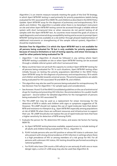Algorithm 2 is an interim measure towards meeting the goals of the End TB Strategy, in which Xpert MTB/RIF testing is used primarily for priority populations (adults being evaluated for HIV-associated TB or MDR-TB, and children) as described in the WHO *Policy Update: Xpert MTB/RIF assay for the diagnosis of pulmonary and extrapulmonary TB in adults and children*. This algorithm is suitable when there is no GeneXpert instrument on site and when Xpert MTB/RIF testing cannot be accessed through a reliable referral system with short turnaround time or when resources do not permit testing of all samples with the Xpert MTB/RIF test. As countries move toward the goals of access to rapid diagnostics and universal drug-susceptibility testing and as access to prompt Xpert MTB/RIF testing becomes available at a site (either through phased implementation of additional instruments or strengthening of the sample referral system), Algorithm 1 should be implemented.

#### **Decision Tree for Algorithm 2 in which the Xpert MTB/RIF test is not available for all persons being evaluated for TB but is only available for priority populations because of resource limitations or lack of testing capacity, and smear microscopy is used for other patients being evaluated for TB**

- Algorithm 1 (not Algorithm 2) should be followed in any setting where Xpert MTB/RIF testing is available on site or when Xpert MTB/RIF testing can be accessed through a reliable referral system with short turnaround time.
- Many countries have not yet built the capacity to conduct Xpert MTB/RIF testing for all persons being evaluated for TB. In such situations, Xpert MTB/RIF testing often initially focuses on testing the priority populations identified in the WHO *Policy Xpert MTB/RIF assay for the diagnosis of pulmonary and extrapulmonary TB in adults and children* and builds towards universal access. The priority populations are adults being evaluated for HIV-associated TB and MDR-TB, and children.
- This algorithm may also be used for persons being evaluated for extrapulmonary TB. See Decision Tree for Algorithm 1 for sample types and considerations.
- See Annexes 14 and 15 of the WHO *Consolidated guidelines on the use of antiretroviral drugs for treating and preventing HIV infection. Recommendations for a public health approach – Second edition* for detailed algorithms for the management of persons being evaluated for HIV-associated TB.
- The TB-LAMP test may be used as a replacement for smear microscopy for the detection of MTB in adults and children with signs or symptoms suggestive of TB. However, TB-LAMP should not replace the use of rapid molecular tests that detect MTB and resistance to rifampicin (e.g., Xpert MTB/RIF) especially among populations at risk of MDR-TB when there are sufficient resources and infrastructure to support their use. TB-LAMP should also not replace the use of rapid molecular tests that have a higher sensitivity for detection of MTB among PLHIV.
- 1. Evaluate the person for TB, determine HIV status, and assess risk factors for having MDR-TB.
	- a. As Xpert MTB/RIF testing becomes available, expand access to include testing of all adults and children being evaluated for TB (i.e., Algorithm 1).
	- b. PLHIV include persons who are HIV positive or whose HIV status is unknown, but who present with strong clinical evidence of HIV infection in settings where there is a high prevalence of HIV or among members of a risk group for HIV. For all persons with unknown HIV status, HIV testing should be performed according to national guidelines.
	- c. For PLHIV who have CD4 counts ≤100 cells/μl or are seriously ill with one or more danger signs, a urine LF-LAM assay may also be used (See Algorithm 4).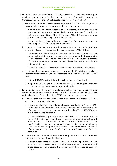- 2. For PLHIV, persons at risk of having MDR-TB, and children, collect two or three good quality sputum specimens. Conduct smear microscopy or TB-LAMP test on site and transport a sample to the testing laboratory for the Xpert MTB/RIF test.
	- a. Because of a potential delay in receiving the Xpert MTB/RIF result, programmes may prefer having smear microscopy results from two specimens.
		- i. If only two specimens are collected, smear microscopy may be done on both specimens if at least one of the samples has adequate volume for conducting both microscopy and Xpert MTB/RIF. The Xpert MTB/RIF test should be given priority. If not, a third sample should be collected.
		- ii. In some settings, collecting three specimens (two for smear microscopy and one for Xpert MTB/RIF testing) may be preferred.
	- b. If one or both samples are positive by smear microscopy or the TB-LAMP test, treat with TB drugs while awaiting the result of the Xpert MTB/RIF test.
		- i. The patient should be initiated on a regimen with first-line TB drugs according to national guidelines unless the patient is at very high risk of having MDR-TB. For patients at very high risk of having MDR-TB (e.g., household contacts of MDR-TB patients), an MDR-TB regimen should be initiated according to national guidelines.
		- ii. Follow Algorithm 1 for the interpretation of the Xpert MTB/RIF test results.
	- c. If both samples are negative by smear microscopy or the TB-LAMP test, use clinical judgement for further evaluation or treatment while awaiting the Xpert MTB/RIF result.
		- i. If Xpert MTB/RIF positive, follow the decision tree for Algorithm 1.
		- ii. If Xpert MTB/RIF negative (MTB not detected), use clinical judgement and conduct additional testing as described in Algorithm 1.
- 3. For patients not in the priority populations, collect two good quality sputum specimens and conduct smear microscopy or TB-LAMP examinations on both. Follow national guidelines for the detection of MTB based on smear microscopy.
	- a. If one or both samples are positive, treat with a regimen of first-line TB drugs according to national guidelines.
		- i. If resources allow, collect an additional specimen and refer for Xpert MTB/RIF testing and follow Algorithm 1 for interpretation and additional testing. One of the already collected specimens may be referred for Xpert MTB/RIF testing if sufficient volume is available.
		- ii. If Xpert MTB/RIF testing is not available and if the infrastructure and resources for FL-LPA have been developed, a specimen may be referred for testing with FL-LPA to detect MTB and to assess resistance to isoniazid and rifampicin. Note that FL-LPA is recommended for use with smear-positive sputum samples only. FL-LPA results are interpreted as described in the WHO *Policy Update: use of molecular line probe assay for the detection of resistance to isoniazid and rifampicin*.
	- b. If both samples are negative, re-evaluate the patient and conduct additional testing in accordance with national guidelines.
		- i. Further investigations for TB may include chest X-ray, Xpert MTB/RIF test, additional clinical assessments, clinical response following treatment with broad-spectrum antimicrobials (fluoroquinolones should not be used), or culture.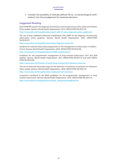ii. Consider the possibility of clinically defined TB (i.e., no bacteriological confirmation). Use clinical judgement for treatment decisions.

#### **Suggested Reading**

*Xpert MTB/RIF assay for the diagnosis of pulmonary and extrapulmonary TB in adults and children. Policy update*. Geneva, World Health Organization. 2013. (WHO/HTM/TB/2013.16)

http://www.who.int/tb/publications/xpert-mtb-rif-assay-diagnosis-policy-update/en/

*The use of loop-mediated isothermal amplification (TB-LAMP) for the diagnosis of pulmonary tuberculosis: policy guidance*. Geneva, World Health Organization. 2016. (WHO/HTM/ TB/2016.07).

http://www.who.int/tb/publications/lamp-diagnosis-molecular

*Guidance for national tuberculosis programmes on the management of tuberculosis in children – 2nd ed*. Geneva, World Health Organization. 2014. (WHO/HTM/TB/2014.03).

http://www.who.int/tb/publications/childtb\_guidelines/en/

*Guidelines for the programmatic management of drug-resistant tuberculosis: 2011 and 2016 updates*. Geneva, World Health Organization. 2011 (WHO/HTM/TB/2011.6) and 2016 (WHO/ HTM/TB/2016.04).

http://www.who.int/tb/areas-of-work/drug-resistant-tb/treatment/resources

*The use of molecular line probe assays for the detection of resistance to isoniazid and rifampicin. Policy update*. Geneva, World Health Organization. 2016. (WHO/HTM/TB/2016.12).

http://www.who.int/tb/publications/molecular-test-resistance

*Companion handbook to the WHO guidelines for the programmatic management of drugresistant tuberculosis*. Geneva, World Health Organization. 2014. (WHO/HTM/TB/2014.11).

http://www.who.int/tb/publications/pmdt\_companionhandbook/en/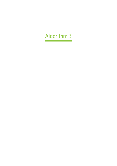# Algorithm 3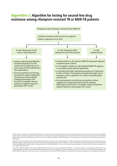### Algorithm 3: **Algorithm for testing for second-line drug resistance among rifampicin-resistant TB or MDR-TB patients**



<sup>1</sup> Patients may be initiated on the shorter MDR-TB regimen if the patient is assessed as being at low risk of having resistance to FOs and to SLIDs and meets the eligibility requirements. In patients at high risk of resistance or in settings with high underlying prevalence of resistance to FOs or SLIDs, selection or design of the treatment regimen to initiate may be guided by SL-LPA if the results can be obtained rapidly. See WHO Guidelines for the programmatic management of drug-resistant tuberculosis, 2016 update.

- <sup>2</sup> Diagnostic accuracy is similar when SL-LPA is performed directly on sputum or from cultured isolates. SL-LPA can be used on smear-positive or smear-negative specimens although a higher indeterminate rate will occur when testing smear-negative specimens. In addition, FL-LPA may help detect isoniazid mutations which can guide the use of isoniazid (high-dose) and thiamides in a longer regimen. See WHO's guidelines on the use of molecular line probe assays for the detection of resistance to second-line anti-tuberculosis drugs, 2016.
- <sup>3</sup> The shorter MDR-TB regimen may be used in MDR-TB patients who do not have the following conditions: 1) confirmed resistance, or suspected ineffectiveness, to a medicine (except isoniazid) in the shorter MDR-TB regimen for which there is reliable DST, 2) previous exposure for >one month to a second-line medicine included in the shorter MDR-TB regimen, 3) intolerance to one or more medicines in the shorter MDR-TB regimen or increased risk of toxicity, 4) pregnancy, or 5) extrapulmonary disease.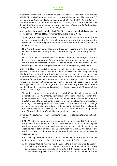Algorithm 3 is for further evaluation of patients with RR-TB or MDR-TB. All patients with RR-TB or MDR-TB should be started on a second-line regimen. The results of DST for FQs and SLIDs should ideally be known for all RR-TB and MDR-TB patients before starting treatment, although this testing should not delay the start of treatment (see the WHO *Guidelines for the programmatic management of drug-resistant tuberculosis, 2016 update* for more details on choice of regimen).

#### **Decision Tree for Algorithm 3 in which SL-LPA is used as the initial diagnostic test for resistance to FQs and SLIDs for patients with RR-TB or MDR-TB**

- The diagnostic accuracy SL-LPA is similar when it is performed directly on sputum or from cultured isolates. SL-LPA can be used on smear-positive or smear-negative specimens although a higher indeterminate rate will occur when testing smearnegative specimens.
- SL-LPA is only recommended for use with sputum specimens or MTB isolates. The laboratory testing of other specimen types should rely on culture and phenotypic DST.
- SL-LPA is suitable for use at the central or national reference laboratory level and may be used at the regional level if the appropriate infrastructure and human resources are available. Implementation of SL-LPA testing must ensure the availability of a reliable specimen transport system and efficient result reporting mechanism.

Note: If SL-LPA is not available, patients should be treated according to national guidelines. Patients may be evaluated for the use of a shorter MDR-TB regimen using criteria such as country drug-resistance patterns and the patient's treatment history. Algorithms that rely on culture and phenotypic DST are described in the WHO *Policy framework for Implementing Tuberculosis Diagnostics*. Phenotypic DST, if done, should include at a minimum testing for resistance to the FQs and SLIDs used in the country. If phenotypic DST to second-line drugs is not available in-country, specimens or isolates may be shipped to an external laboratory for testing (e.g., a WHO Supranational Reference Laboratory).

- 1. The patient should be promptly initiated on a MDR-TB regimen in accordance with national guidelines. Patients may be initiated on the shorter MDR-TB regimen if the patient is assessed as being at low risk of having resistance to FQs and to SLIDs and meets the eligibility requirements. In patients at high risk of resistance or in settings with high underlying prevalence of resistance to FQs or SLIDs, selection or design of the treatment regimen to initiate may be guided by SL-LPA if the results can be obtained rapidly. FL-LPA may help detect isoniazid mutations which can guide the use of isoniazid (high-dose) and thiamides in a longer regimen.
- 2. Transport a sputum specimen or isolate to the appropriate laboratory for testing by SL-LPA.
- 3. If SL-LPA detects a mutation(s) associated with resistance to an FQ, SLID, or both, the patient should be initiated on an individualised MDR-TB treatment regimen considering use of new drugs and later generation fluoroquinolones. Note that cross-resistance between individual FQs or between individual SLIDs is complex and not fully understood; there are limited data on the ability of SL-LPA to assess the cross-resistance.
- 4. If SL-LPA is negative for mutations associated with resistance to FQs and to SLIDs, the patient should be assessed for eligibility for the shorter MDR-TB regimen.
	- a. The shorter MDR-TB regimen may be used in MDR-TB patients who do not have the following conditions 1) confirmed resistance, or suspected ineffectiveness, to a medicine (except isoniazid) in the shorter MDR-TB regimen for which there is reliable DST, 2) previous exposure for >one month to a second-line medicine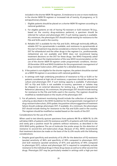included in the shorter MDR-TB regimen, 3) intolerance to one or more medicines in the shorter MDR-TB regimen or increased risk of toxicity, 4) pregnancy, or 5) extrapulmonary disease.

- i. Eligible patients should be placed on a shorter MDR-TB regimen according to national guidelines.
- ii. For eligible patients at risk of having FQ-resistant or SLID-resistant TB (e.g., based on the country drug-resistance patterns), a specimen should be referred for culture and phenotypic DST, if such testing capacity is available. At a minimum, the phenotypic DST should include testing for resistance to the FQs and SLIDs used in the country.
- iii. Reliable DST is available for the FQs and SLIDs. Although technically difficult, reliable DST for pyrazinamide is available, and resistance to pyrazinamide at the start of treatment may also be considered a criterion for exclusion. Reliable DST for ethambutol and the other drugs in the regimen (i.e., prothionamide, clofazimine) are not available and WHO does not recommend basing treatment decisions on the DST for these drugs. See WHO *Frequently asked questions about the implementation of the new WHO recommendation on the use of the shorter MDR-TB regimen under programmatic conditions, Version: 20 December 2016* and WHO *Guidelines for the programmatic management of drug-resistant tuberculosis: 2016 update* for a detailed discussion.
- b. If the patient is not eligible for the shorter regimen, the patient should be started on a MDR-TB regimen in accordance with national guidelines.
- c. In settings with high underlying prevalence of resistance to FQs or SLIDS or for patients considered at high risk of resistance, a specimen should be referred for culture and phenotypic DST, if such testing capacity is available. If phenotypic DST to FQs and SLIDs is not available in-country, specimens or isolates may be shipped to an external laboratory for testing (e.g., a WHO Supranational Reference Laboratory). At a minimum, the phenotypic DST should include testing for resistance to the FQs and SLIDs used in the country. The regimen should be modified as needed based on the results of the phenotypic DST.
- 5. For all patients, treatment monitoring should include the collection of samples for culturing as described in the WHO *Guidelines for the programmatic management of drug-resistant tuberculosis, 2016 update*. Any positive culture suggestive of treatment failure should undergo phenotypic DST, if available. At a minimum, the phenotypic DST should include testing for resistance to the FQs and SLIDs used in the country. The regimen should be modified as needed based on the results of the DST.

Considerations for the use of SL-LPA:

When used to test directly sputum specimens from patients RR-TB or MDR-TB, SL-LPA will detect 86% of patients with FQ resistance and 87% of patients with SLID resistance and rarely give a positive result for patients without resistance, as described in the 2016 WHO policy guidance *The use of molecular line probe assays for the detection of resistance to second-line anti-tuberculosis drugs*. Because of this, WHO recommends that treatment decisions be made on the basis of the SL-LPA results with the following considerations:

• Despite good specificity and sensitivity of SL-LPA for the detection of FQ resistance (pooled sensitivity of 86% and specificity of 99% compared to phenotypic DST) and SLID resistance (pooled sensitivity of 87% and specificity of 99% compared to phenotypic DST), culture and phenotypic DST is required to completely exclude resistance to the individual drugs in these drug classes as well as to other second-line drugs. Phenotypic DST may be particularly needed in settings with a high pre-test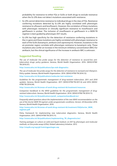probability for resistance to either FQs or SLIDs or both drugs to exclude resistance when the SL-LPA does not detect mutations associated with resistance.

- SL-LPA cannot determine resistance to individual drugs in the class of FQs. Resistance conferring mutations detected by SL-LPA are highly correlated with phenotypic resistance to ofloxacin and levofloxacin. However, the correlation of these mutations with phenotypic resistance or clinically significant resistance to moxifloxacin and gatifloxacin is unclear. The inclusion of moxifloxacin or gatifloxacin in a MDR-TB regimen is best guided by phenotypic DST results.
- SL-LPA has high specificity for the detection of resistance conferring mutations in the *rrs* gene and these mutations are highly correlated with phenotypic resistance to each of the SLIDs (kanamycin, amikacin and capreomycin). However, mutations in the *eis* promoter region correlate with phenotypic resistance to kanamycin only. These mutations also confer an increase in the minimum inhibitory concentration (MIC) for amikacin, but the clinical significance of the increase in amikacin MIC is unknown.

#### **Suggested Reading**

*The use of molecular line probe assays for the detection of resistance to second-line antituberculosis drugs: policy guidance*. Geneva, World Health Organization. 2016. (WHO/HTM/ TB/2016.07).

http://www.who.int/tb/publications/lpa-mdr-diagnostics

*The use of molecular line probe assays for the detection of resistance to isoniazid and rifampicin. Policy update*. Geneva, World Health Organization. 2016. (WHO/HTM/TB/2016.12).

http://www.who.int/tb/publications/molecular-test-resistance

*Guidelines for the programmatic management of drug-resistant tuberculosis: 2011 and 2016 updates*. Geneva, World Health Organization. 2011 (WHO/HTM/TB/2011.6) and 2016 (WHO/ HTM/TB/2016.04).

http://www.who.int/tb/areas-of-work/drug-resistant-tb/treatment/resources

*Companion handbook to the WHO guidelines for the programmatic management of drugresistant tuberculosis*. Geneva, World Health Organization. 2014. (WHO/HTM/TB/2014.11).

http://www.who.int/tb/publications/pmdt\_companionhandbook/en/

*Frequently asked questions about the implementation of the new WHO recommendation on the use of the shorter MDR-TB regimen under programmatic conditions, Version: 20 December 2016*. Geneva, World Health Organization. 2016.

[http://www.who.int/tb/areas-of-work/drug-resistant-tb/treatment/FAQshorter\\_MDR\\_](http://www.who.int/tb/areas-of-work/drug-resistant-tb/treatment/FAQshorter_MDR_regimen.pdf) [regimen.pdf](http://www.who.int/tb/areas-of-work/drug-resistant-tb/treatment/FAQshorter_MDR_regimen.pdf)

*Policy framework for implementing new tuberculosis diagnostics*. Geneva, World Health Organization. 2015. (WHO/HTM/TB/2015.11).

http://www.who.int/tb/publications/implementing\_TB\_diagnostics/en/

*Training packages on culture on solid and liquid medium; on DST by phenotypic and molecular methods; on line probe assays (LPAs)*. Global Laboratory Initiative. 2012.

http://stoptb.org/wg/gli/trainingpackages.asp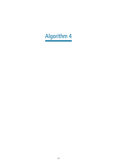## Algorithm 4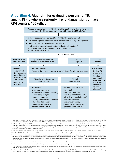### Algorithm 4: **Algorithm for evaluating persons for TB, among PLHIV who are seriously ill with danger signs or have CD4 counts ≤ 100 cells/μl**



<sup>1</sup> Persons to be evaluated for TB include adults and children with signs or symptoms suggestive of TB or with a chest X-ray with abnormalities suggestive of TB. This algorithm may also be followed for the detection of MTB using CSF, lymph node and other tissue specimen from persons being evaluated for extrapulmonary TB.

<sup>2</sup> PLHIV (People living with HIV/AIDS) include persons who are HIV positive or whose HIV status is unknown, but who present with strong clinical evidence of HIV infection in settings where there is a high prevalence of HIV or among members of a risk group for HIV. For all people with unknown HIV status, HIV testing should be performed according to national guidelines. For all adults living with HIV/AIDS regardless of CD4 cell count or clinical stage, ART should be recommended and initiating cotrimoxazole preventive therapy should be considered.

<sup>3</sup> Danger signs include any one of the following: respiratory rate >30 per minute, temperature >39 °C, heart rate >120 beats per minute, or unable to walk unaided.

<sup>4</sup> The Xpert MTB/RIF test is the preferred initial diagnostic test. For persons being evaluated for pulmonary TB, sputum is the preferred specimen.

<sup>5</sup> The LF-LAM assay may be used to assist in diagnosing active TB in both in-and out-patients who are seriously ill with danger signs, regardless of CD4 count. Testing with the LF-LAM assay may be especially useful for patients unable to produce a sputum specimen. Whenever possible, a positive LF-LAM should be followed up with other tests such as Xpert MTB/RIF. While awaiting results of other tests, clinicians could consider initiating TB treatment immediately based on the positive LF-LAM and their clinical judgment.

<sup>6</sup> Antibiotics with broad-spectrum antibacterial activity (except do not use fluoroquinolones) should be used.

<sup>7</sup> Initiate a treatment with first-line or second-line TB drugs based on the Xpert MTB/RIF result. See **Algorithm 1**.

<sup>8</sup> If the Xpert MTB/RIF test does not detect MTB, the test can be repeated using a fresh specimen. See **Algorithm 1** for a discussion of possible follow-up testing for an Xpert MTB/RIF result of MTB not detected.

<sup>9</sup> Further investigations for TB may include chest X-ray, additional clinical assessments, a repeat Xpert MTB/RIF using a fresh specimen, or culture. If the patient is being evaluated for extrapulmonary TB, extrapulmonary specimens should be obtained and sent for culture and abdominal ultrasound may be performed.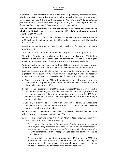Algorithm 4 is used for PLHIV being evaluated for TB (pulmonary or extrapulmonary) who have a CD4 cell count less than or equal to 100 cells/ $\mu$ l or who are seriously ill regardless of CD4 count. This algorithm is based on Annex 15 of the WHO *Consolidated guidelines on the use of antiretroviral drugs for treating and preventing HIV infection. Recommendations for a public health approach – Second edition*.

#### **Decision Tree for Algorithm 4 is used for testing PLHIV being evaluated for TB who have a CD4 cell count less than or equal to 100 cells/μl or who are seriously ill regardless of CD4 count**

- Follow Algorithm 1 or 2 for all persons being evaluated for TB except PLHIV who have a CD4 cell count less than or equal to 100 cells/μl or who are seriously ill regardless of CD4 count.
- Algorithm 4 may be used for persons being evaluated for pulmonary or extrapulmonary TB.
- The Xpert MTB/RIF test is the preferred initial diagnostic test for Algorithm 4.
- The urine LF-LAM assay may also be used to assist in the diagnosis of TB in these individuals and may be especially useful in persons who cannot produce a good quality sputum specimen or when the Xpert MTB/RIF test is not available.
- Testing using the approved rapid methods should be given priority. Smear microscopy and culture may be useful, particularly when the rapid tests do not detect MTB.
- 1. Evaluate the patient for TB, determine HIV status, and assess presence of danger signs for being seriously ill. In PLHIV who are not seriously ill, it may also be necessary to measure CD4 cell counts to assess eligibility for testing with the LF-LAM assay.
	- a. Persons to be evaluated for TB include adults and children with signs or symptoms suggestive of TB (pulmonary or extrapulmonary) or with a chest X-ray with abnormalities suggestive of TB.
	- b. PLHIV include persons who are HIV positive or whose HIV status is unknown, but who present with strong clinical evidence of HIV infection in settings where there is a high prevalence of HIV or among members of a risk group for HIV. For all people with unknown HIV status, HIV testing should be performed according to national guidelines.
	- c. Seriously ill is defined as presenting with any one of the following danger signs: respiratory rate >30 per minute, temperature >39 °C, heart rate >120 beats per minute, or unable to walk unaided.
- 2. For PLHIV being evaluated for TB who have a CD4 cell count less than or equal to 100 cells/μl or who are seriously ill regardless of CD4 count:
	- a. Collect a specimen and conduct the Xpert MTB/RIF test. Follow Algorithm 1 for result interpretation and follow-up testing.
		- i. For persons being evaluated for pulmonary TB, induced or expectorated sputum (preferred), bronchoalveolar lavage, gastric lavage, and gastric aspirate specimens may be used. Data are limited for the sensitivity of the Xpert MTB/ RIF with other samples such as nasopharyngeal aspirates, string test samples, or stool samples.
		- ii. For persons being evaluated for extrapulmonary TB, the Xpert MTB/RIF test is recommended for use with CSF, lymph nodes and other tissue samples. However, the test has low sensitivity for pleural fluid specimens and data are limited for its sensitivity with stool, urine or blood specimens.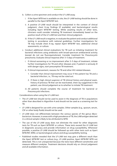- b. Collect a urine specimen and conduct the LF-LAM assay.
	- i. If the Xpert MTB test is available on site, the LF-LAM testing should be done in parallel to the Xpert MTB/RIF test.
	- ii. A positive LF-LAM result should be interpreted in the context of clinical judgment, chest X-ray findings (if available), and bacteriological results including Xpert MTB/RIF testing. While awaiting results of other tests, clinicians could consider initiating TB treatment immediately based on the positive result of the LF-LAM test and their clinical judgment.
	- iii. If the LF-LAM result is negative, re-evaluate the patient and conduct additional testing in accordance with national guidelines. Further investigations for TB may include chest X-ray, repeat Xpert MTB/RIF test, additional clinical assessments, or culture.
- c. Conduct additional clinical evaluations for TB such as initiating treatment for bacterial infections using antibiotics with broad-spectrum antibacterial activity (except do not use fluoroquinolones). Consider treatment for *Pneumocystis*  pneumonia. Evaluate clinical response after 3–5 days of treatment.
	- i. If clinical worsening or no improvement after 3–5 days of treatment, initiate further investigations for TB and other diseases and, if patient is seriously ill with danger signs, start presumptive TB treatment.
	- ii. If clinical improvement, reassess for TB and other HIV-related diseases.
		- 1. Consider that clinical improvement may occur if the patient has TB and a bacterial infection, i.e., TB may not be ruled out.
		- 2. If there is high clinical suspicion of TB (clinical history and physical exam, history of previous TB that can be reactivated, chest ray suggestive) in the patient, use clinical judgement as to whether to initiate TB treatment.
	- iii. All patients should complete the course of treatment for bacterial or *Pneumocystis* infections.

Considerations when using the LF-LAM test:

- The LF-LAM test should not be used to assist in the diagnosis of TB in populations other than described in Algorithm 4 and should not be used as a screening test for TB.
- LF-LAM is designed for use with urine samples. Other samples (e.g., sputum, serum, CSF or other body fluids) should not be used.
- LF-LAM does not differentiate between the various species of the genus *Mycobacterium*. However, in areas with a high prevalence of TB, the LAM antigen detected in a clinical sample is likely to be attributed to MTB.
- The use of the LF-LAM assay does not eliminate the need for other diagnostic tests for TB such as Xpert MTB/RIF or culture. These tests exceed the LF-LAM test in diagnostic accuracy and provide information on drug susceptibility. Whenever possible, a positive LF-LAM should be followed up with other tests such as Xpert MTB/RIF, WRD, or bacteriological culture and drug-susceptibility testing.
- Published studies revealed that the LF-LAM test may give a different result than the Xpert MTB/RIF test or culture (e.g., LF-LAM positive, Xpert MTB/RIF MTB not detected). This is not unexpected because the tests have different sensitivities and measure different analytes. Treatment decisions should rely on clinical judgement and all available information.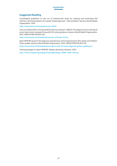#### **Suggested Reading**

*Consolidated guidelines on the use of antiretroviral drugs for treating and preventing HIV infection. Recommendations for a public health approach – Second edition*. Geneva, World Health Organization. 2016.

http://www.who.int/hiv/pub/arv/arv-2016/

*The use of lateral flow urine lipoarabinomannan assay (LF-LAM) for the diagnosis and screening of active tuberculosis in people living with HIV: policy guidance*. Geneva, World Health Organization. 2015. (WHO/HTM/TB/2015.25).

http://www.who.int/tb/publications/use-of-lf-lam-tb-hiv

*Xpert MTB/RIF assay for the diagnosis of pulmonary and extrapulmonary TB in adults and children. Policy update*. Geneva, World Health Organization. 2013. (WHO/HTM/TB/2013.16)

http://www.who.int/tb/publications/xpert-mtb-rif-assay-diagnosis-policy-update/en/

*Training package on Xpert MTB/RIF*. Global Laboratory Initiative. 2014.

http://www.stoptb.org/wg/gli/TrainingPackage\_XPERT\_MTB\_RIF.asp